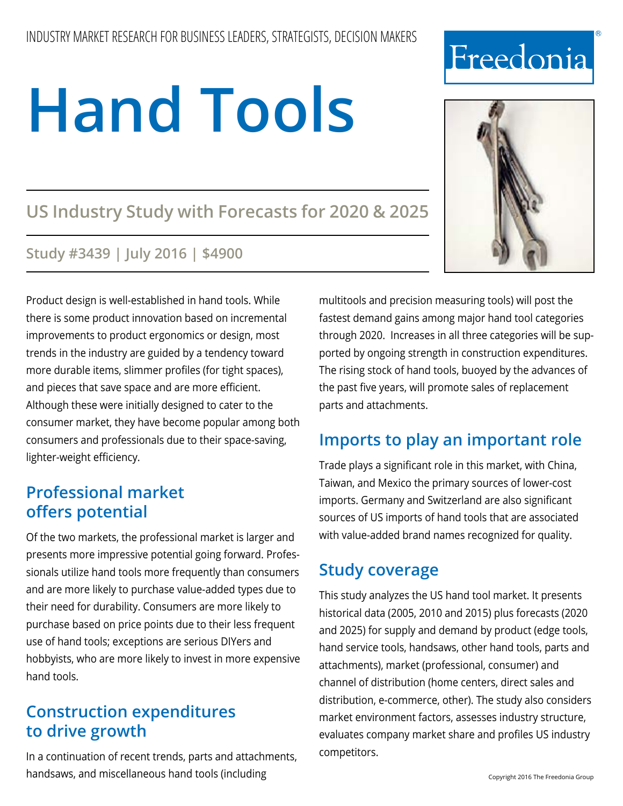# **Hand Tools**

# **US Industry Study with Forecasts for 2020 & 2025**

## **Study #3439 | July 2016 | \$4900**

Product design is well-established in hand tools. While there is some product innovation based on incremental improvements to product ergonomics or design, most trends in the industry are guided by a tendency toward more durable items, slimmer profiles (for tight spaces), and pieces that save space and are more efficient. Although these were initially designed to cater to the consumer market, they have become popular among both consumers and professionals due to their space-saving, lighter-weight efficiency.

# **Professional market offers potential**

Of the two markets, the professional market is larger and presents more impressive potential going forward. Professionals utilize hand tools more frequently than consumers and are more likely to purchase value-added types due to their need for durability. Consumers are more likely to purchase based on price points due to their less frequent use of hand tools; exceptions are serious DIYers and hobbyists, who are more likely to invest in more expensive hand tools.

# **Construction expenditures to drive growth**

In a continuation of recent trends, parts and attachments, handsaws, and miscellaneous hand tools (including

multitools and precision measuring tools) will post the fastest demand gains among major hand tool categories through 2020. Increases in all three categories will be supported by ongoing strength in construction expenditures. The rising stock of hand tools, buoyed by the advances of the past five years, will promote sales of replacement parts and attachments.

# **Imports to play an important role**

Trade plays a significant role in this market, with China, Taiwan, and Mexico the primary sources of lower-cost imports. Germany and Switzerland are also significant sources of US imports of hand tools that are associated with value-added brand names recognized for quality.

# **Study coverage**

This study analyzes the US hand tool market. It presents historical data (2005, 2010 and 2015) plus forecasts (2020 and 2025) for supply and demand by product (edge tools, hand service tools, handsaws, other hand tools, parts and attachments), market (professional, consumer) and channel of distribution (home centers, direct sales and distribution, e-commerce, other). The study also considers market environment factors, assesses industry structure, evaluates company market share and profiles US industry competitors.



# Freedonia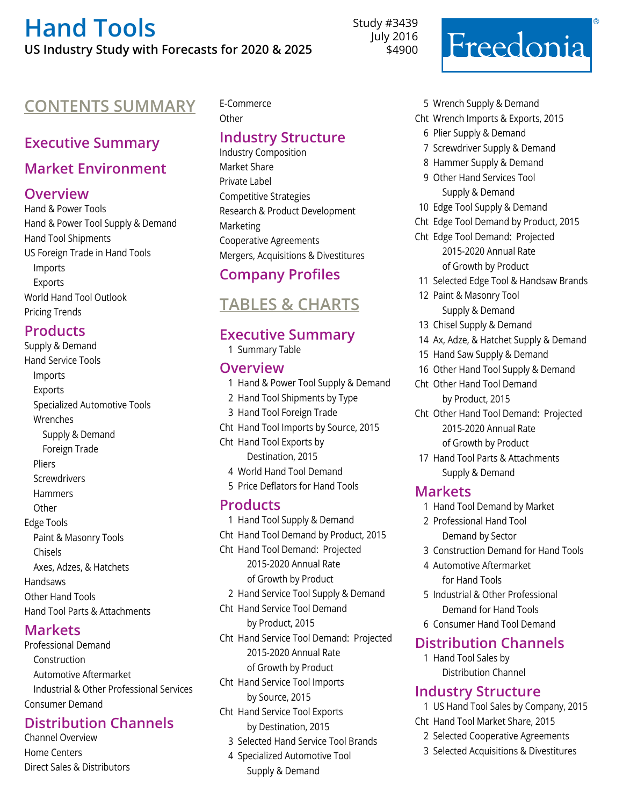# **[Hand Tools](http://www.freedoniagroup.com/DocumentDetails.aspx?ReferrerId=FM-Bro&studyid=3439) US Industry Study with Forecasts for 2020 & 2025**

Study #3439 July 2016 \$4900

# **Contents Summary** E-Commerce

#### **Executive Summary**

#### **Market Environment**

#### **Overview**

Hand & Power Tools Hand & Power Tool Supply & Demand Hand Tool Shipments US Foreign Trade in Hand Tools Imports Exports World Hand Tool Outlook Pricing Trends

#### **Products**

Supply & Demand Hand Service Tools Imports Exports Specialized Automotive Tools Wrenches Supply & Demand Foreign Trade Pliers **Screwdrivers** Hammers **Other** Edge Tools Paint & Masonry Tools Chisels Axes, Adzes, & Hatchets Handsaws Other Hand Tools Hand Tool Parts & Attachments

#### **Markets**

Professional Demand Construction Automotive Aftermarket Industrial & Other Professional Services Consumer Demand

#### **Distribution Channels**

Channel Overview Home Centers Direct Sales & Distributors

# **Other**

#### **Industry Structure**

Industry Composition Market Share Private Label Competitive Strategies Research & Product Development Marketing Cooperative Agreements Mergers, Acquisitions & Divestitures

#### **Company Profiles**

# **Tables & Charts**

#### **Executive Summary**

1 Summary Table

#### **Overview**

- 1 Hand & Power Tool Supply & Demand 2 Hand Tool Shipments by Type 3 Hand Tool Foreign Trade Cht Hand Tool Imports by Source, 2015 Cht Hand Tool Exports by Destination, 2015 4 World Hand Tool Demand 5 Price Deflators for Hand Tools **Products** 1 Hand Tool Supply & Demand
- Cht Hand Tool Demand by Product, 2015 Cht Hand Tool Demand: Projected 2015-2020 Annual Rate of Growth by Product 2 Hand Service Tool Supply & Demand Cht Hand Service Tool Demand by Product, 2015 Cht Hand Service Tool Demand: Projected 2015-2020 Annual Rate of Growth by Product Cht Hand Service Tool Imports by Source, 2015 Cht Hand Service Tool Exports by Destination, 2015 3 Selected Hand Service Tool Brands 4 Specialized Automotive Tool
	- Supply & Demand



- Cht Wrench Imports & Exports, 2015
	- 6 Plier Supply & Demand
	- 7 Screwdriver Supply & Demand
	- 8 Hammer Supply & Demand
	- 9 Other Hand Services Tool Supply & Demand
- 10 Edge Tool Supply & Demand
- Cht Edge Tool Demand by Product, 2015
- Cht Edge Tool Demand: Projected 2015-2020 Annual Rate of Growth by Product
- 11 Selected Edge Tool & Handsaw Brands
- 12 Paint & Masonry Tool Supply & Demand
- 13 Chisel Supply & Demand
- 14 Ax, Adze, & Hatchet Supply & Demand
- 15 Hand Saw Supply & Demand
- 16 Other Hand Tool Supply & Demand
- Cht Other Hand Tool Demand by Product, 2015
- Cht Other Hand Tool Demand: Projected 2015-2020 Annual Rate of Growth by Product
- 17 Hand Tool Parts & Attachments Supply & Demand

#### **Markets**

- 1 Hand Tool Demand by Market
- 2 Professional Hand Tool Demand by Sector
- 3 Construction Demand for Hand Tools
- 4 Automotive Aftermarket for Hand Tools
- 5 Industrial & Other Professional Demand for Hand Tools
- 6 Consumer Hand Tool Demand

#### **Distribution Channels**

1 Hand Tool Sales by Distribution Channel

#### **Industry Structure**

- 1 US Hand Tool Sales by Company, 2015
- Cht Hand Tool Market Share, 2015
	- 2 Selected Cooperative Agreements
	- 3 Selected Acquisitions & Divestitures

Freedonia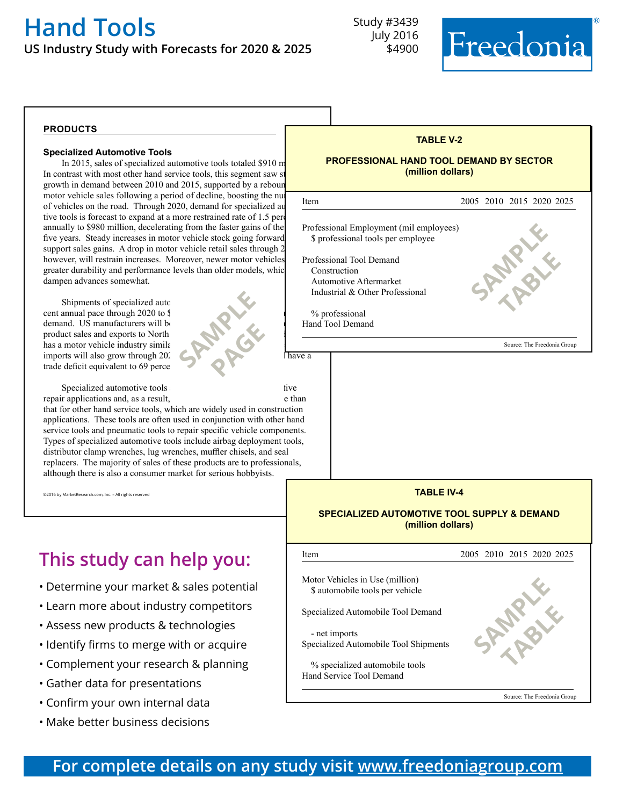# **[Hand Tools](http://www.freedoniagroup.com/DocumentDetails.aspx?ReferrerId=FM-Bro&studyid=3439) US Industry Study with Forecasts for 2020 & 2025**

Study #3439 July 2016 \$4900



#### **products**

#### **Specialized Automotive Tools**

In 2015, sales of specialized automotive tools totaled \$910 m In contrast with most other hand service tools, this segment saw s growth in demand between 2010 and 2015, supported by a rebour motor vehicle sales following a period of decline, boosting the number of  $\frac{1}{2}$ of vehicles on the road. Through 2020, demand for specialized au tive tools is forecast to expand at a more restrained rate of 1.5 percent annually to \$980 million, decelerating from the faster gains of the five years. Steady increases in motor vehicle stock going forward support sales gains. A drop in motor vehicle retail sales through 2 however, will restrain increases. Moreover, newer motor vehicles greater durability and performance levels than older models, which dampen advances somewhat.

Shipments of specialized auto cent annual pace through 2020 to § demand. US manufacturers will be product sales and exports to North has a motor vehicle industry similar imports will also grow through  $202<sup>o</sup>$ trade deficit equivalent to 69 perce

Specialized automotive tools are used extensively in a use tive repair applications and, as a result, the more stable than

that for other hand service tools, which are widely used in construction applications. These tools are often used in conjunction with other hand service tools and pneumatic tools to repair specific vehicle components. Types of specialized automotive tools include airbag deployment tools, distributor clamp wrenches, lug wrenches, muffler chisels, and seal replacers. The majority of sales of these products are to professionals, although there is also a consumer market for serious hobbyists.

**SAMPLE** 

**PAGE** 

©2016 by MarketResearch.com, Inc. – All rights reserved

# **This study can help you:**

- Determine your market & sales potential
- Learn more about industry competitors
- Assess new products & technologies
- Identify firms to merge with or acquire
- Complement your research & planning
- Gather data for presentations
- Confirm your own internal data
- Make better business decisions



#### **TABLE IV-4**

#### **SPECIALIZED AUTOMOTIVE TOOL SUPPLY & DEMAND (million dollars)**



**For complete details on any study visit [www.freedoniagroup.com](http://www.freedoniagroup.com/)**